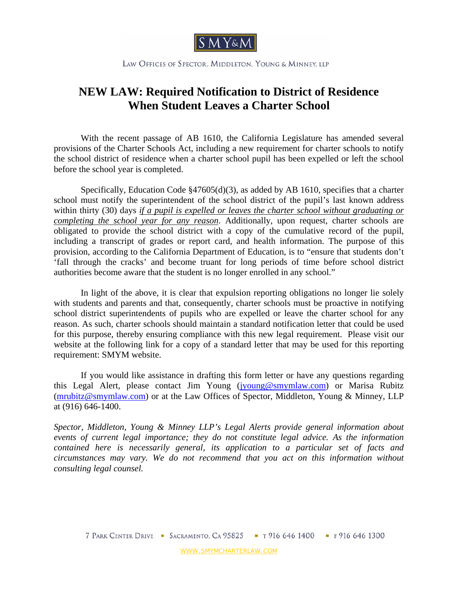

LAW OFFICES OF SPECTOR, MIDDLETON, YOUNG & MINNEY, LLP

## **NEW LAW: Required Notification to District of Residence When Student Leaves a Charter School**

With the recent passage of AB 1610, the California Legislature has amended several provisions of the Charter Schools Act, including a new requirement for charter schools to notify the school district of residence when a charter school pupil has been expelled or left the school before the school year is completed.

Specifically, Education Code §47605(d)(3), as added by AB 1610, specifies that a charter school must notify the superintendent of the school district of the pupil's last known address within thirty (30) days *if a pupil is expelled or leaves the charter school without graduating or completing the school year for any reason*. Additionally, upon request, charter schools are obligated to provide the school district with a copy of the cumulative record of the pupil, including a transcript of grades or report card, and health information. The purpose of this provision, according to the California Department of Education, is to "ensure that students don't 'fall through the cracks' and become truant for long periods of time before school district authorities become aware that the student is no longer enrolled in any school."

In light of the above, it is clear that expulsion reporting obligations no longer lie solely with students and parents and that, consequently, charter schools must be proactive in notifying school district superintendents of pupils who are expelled or leave the charter school for any reason. As such, charter schools should maintain a standard notification letter that could be used for this purpose, thereby ensuring compliance with this new legal requirement. Please visit our website at the following link for a copy of a standard letter that may be used for this reporting requirement: SMYM website.

If you would like assistance in drafting this form letter or have any questions regarding this Legal Alert, please contact Jim Young (jyoung@smymlaw.com) or Marisa Rubitz (mrubitz@smymlaw.com) or at the Law Offices of Spector, Middleton, Young & Minney, LLP at (916) 646-1400.

*Spector, Middleton, Young & Minney LLP's Legal Alerts provide general information about events of current legal importance; they do not constitute legal advice. As the information contained here is necessarily general, its application to a particular set of facts and circumstances may vary. We do not recommend that you act on this information without consulting legal counsel.*